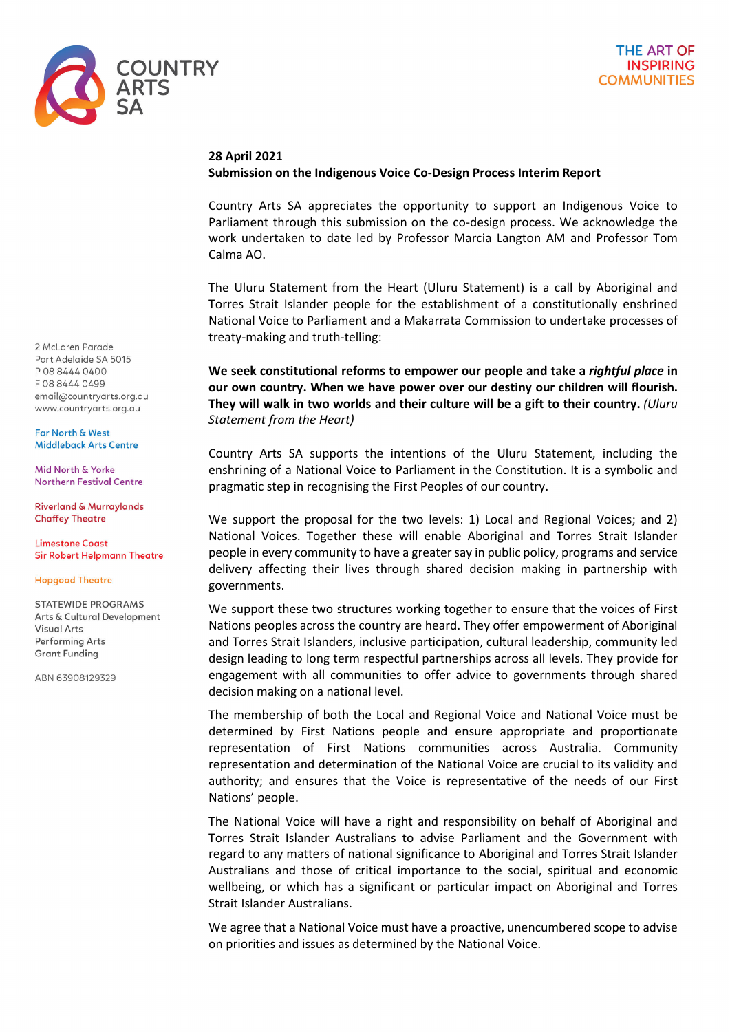

## **28 April 2021**

## **Submission on the Indigenous Voice Co-Design Process Interim Report**

Country Arts SA appreciates the opportunity to support an Indigenous Voice to Parliament through this submission on the co-design process. We acknowledge the work undertaken to date led by Professor Marcia Langton AM and Professor Tom Calma AO.

The Uluru Statement from the Heart (Uluru Statement) is a call by Aboriginal and Torres Strait Islander people for the establishment of a constitutionally enshrined National Voice to Parliament and a Makarrata Commission to undertake processes of treaty-making and truth-telling:

**We seek constitutional reforms to empower our people and take a** *rightful place* **in our own country. When we have power over our destiny our children will flourish. They will walk in two worlds and their culture will be a gift to their country.** *(Uluru Statement from the Heart)*

Country Arts SA supports the intentions of the Uluru Statement, including the enshrining of a National Voice to Parliament in the Constitution. It is a symbolic and pragmatic step in recognising the First Peoples of our country.

We support the proposal for the two levels: 1) Local and Regional Voices; and 2) National Voices. Together these will enable Aboriginal and Torres Strait Islander people in every community to have a greater say in public policy, programs and service delivery affecting their lives through shared decision making in partnership with governments.

We support these two structures working together to ensure that the voices of First Nations peoples across the country are heard. They offer empowerment of Aboriginal and Torres Strait Islanders, inclusive participation, cultural leadership, community led design leading to long term respectful partnerships across all levels. They provide for engagement with all communities to offer advice to governments through shared decision making on a national level.

The membership of both the Local and Regional Voice and National Voice must be determined by First Nations people and ensure appropriate and proportionate representation of First Nations communities across Australia. Community representation and determination of the National Voice are crucial to its validity and authority; and ensures that the Voice is representative of the needs of our First Nations' people.

The National Voice will have a right and responsibility on behalf of Aboriginal and Torres Strait Islander Australians to advise Parliament and the Government with regard to any matters of national significance to Aboriginal and Torres Strait Islander Australians and those of critical importance to the social, spiritual and economic wellbeing, or which has a significant or particular impact on Aboriginal and Torres Strait Islander Australians.

We agree that a National Voice must have a proactive, unencumbered scope to advise on priorities and issues as determined by the National Voice.

2 McLaren Parade Port Adelpide SA 5015 P 08 8444 0400 F0884440499 email@countryarts.org.au www.countryarts.org.au

Far North & West Middleback Arts Centre

Mid North & Yorke **Northern Festival Centre** 

**Riverland & Murraylands Chaffey Theatre** 

**Limestone Coast Sir Robert Helpmann Theatre** 

**Hopgood Theatre** 

**STATEWIDE PROGRAMS** Arts & Cultural Development **Visual Arts** Performing Arts **Grant Funding** 

ABN 63908129329